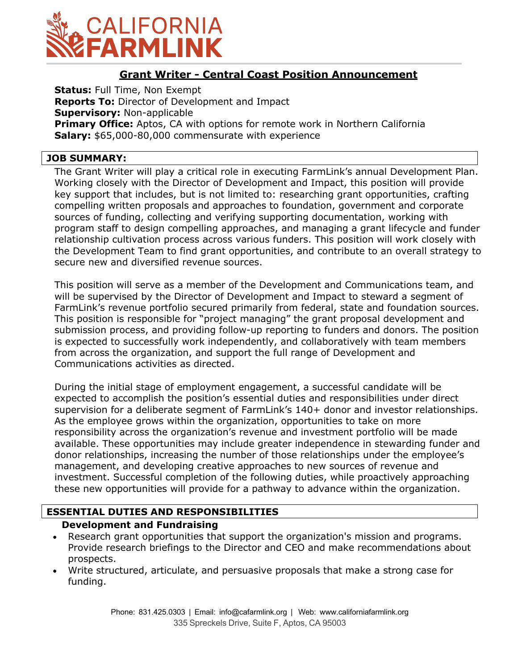

### **Grant Writer - Central Coast Position Announcement**

**Status:** Full Time, Non Exempt **Reports To:** Director of Development and Impact **Supervisory:** Non-applicable **Primary Office:** Aptos, CA with options for remote work in Northern California **Salary:** \$65,000-80,000 commensurate with experience

#### **JOB SUMMARY:**

The Grant Writer will play a critical role in executing FarmLink's annual Development Plan. Working closely with the Director of Development and Impact, this position will provide key support that includes, but is not limited to: researching grant opportunities, crafting compelling written proposals and approaches to foundation, government and corporate sources of funding, collecting and verifying supporting documentation, working with program staff to design compelling approaches, and managing a grant lifecycle and funder relationship cultivation process across various funders. This position will work closely with the Development Team to find grant opportunities, and contribute to an overall strategy to secure new and diversified revenue sources.

This position will serve as a member of the Development and Communications team, and will be supervised by the Director of Development and Impact to steward a segment of FarmLink's revenue portfolio secured primarily from federal, state and foundation sources. This position is responsible for "project managing" the grant proposal development and submission process, and providing follow-up reporting to funders and donors. The position is expected to successfully work independently, and collaboratively with team members from across the organization, and support the full range of Development and Communications activities as directed.

During the initial stage of employment engagement, a successful candidate will be expected to accomplish the position's essential duties and responsibilities under direct supervision for a deliberate segment of FarmLink's 140+ donor and investor relationships. As the employee grows within the organization, opportunities to take on more responsibility across the organization's revenue and investment portfolio will be made available. These opportunities may include greater independence in stewarding funder and donor relationships, increasing the number of those relationships under the employee's management, and developing creative approaches to new sources of revenue and investment. Successful completion of the following duties, while proactively approaching these new opportunities will provide for a pathway to advance within the organization.

### **ESSENTIAL DUTIES AND RESPONSIBILITIES**

### **Development and Fundraising**

- Research grant opportunities that support the organization's mission and programs. Provide research briefings to the Director and CEO and make recommendations about prospects.
- Write structured, articulate, and persuasive proposals that make a strong case for funding.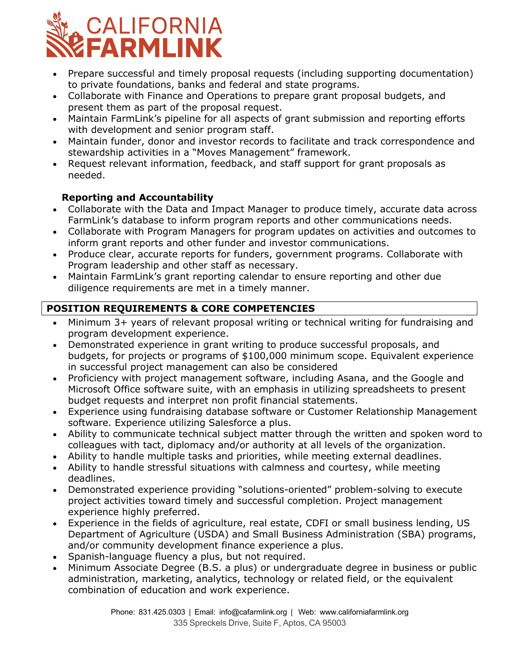

- Prepare successful and timely proposal requests (including supporting documentation) to private foundations, banks and federal and state programs.
- Collaborate with Finance and Operations to prepare grant proposal budgets, and present them as part of the proposal request.
- Maintain FarmLink's pipeline for all aspects of grant submission and reporting efforts with development and senior program staff.
- Maintain funder, donor and investor records to facilitate and track correspondence and stewardship activities in a "Moves Management" framework.
- Request relevant information, feedback, and staff support for grant proposals as needed.

## **Reporting and Accountability**

- Collaborate with the Data and Impact Manager to produce timely, accurate data across FarmLink's database to inform program reports and other communications needs.
- Collaborate with Program Managers for program updates on activities and outcomes to inform grant reports and other funder and investor communications.
- Produce clear, accurate reports for funders, government programs. Collaborate with Program leadership and other staff as necessary.
- Maintain FarmLink's grant reporting calendar to ensure reporting and other due diligence requirements are met in a timely manner.

# **POSITION REQUIREMENTS & CORE COMPETENCIES**

- Minimum 3+ years of relevant proposal writing or technical writing for fundraising and program development experience.
- Demonstrated experience in grant writing to produce successful proposals, and budgets, for projects or programs of \$100,000 minimum scope. Equivalent experience in successful project management can also be considered
- Proficiency with project management software, including Asana, and the Google and Microsoft Office software suite, with an emphasis in utilizing spreadsheets to present budget requests and interpret non profit financial statements.
- Experience using fundraising database software or Customer Relationship Management software. Experience utilizing Salesforce a plus.
- Ability to communicate technical subject matter through the written and spoken word to colleagues with tact, diplomacy and/or authority at all levels of the organization.
- Ability to handle multiple tasks and priorities, while meeting external deadlines.
- Ability to handle stressful situations with calmness and courtesy, while meeting deadlines.
- Demonstrated experience providing "solutions-oriented" problem-solving to execute project activities toward timely and successful completion. Project management experience highly preferred.
- Experience in the fields of agriculture, real estate, CDFI or small business lending, US Department of Agriculture (USDA) and Small Business Administration (SBA) programs, and/or community development finance experience a plus.
- Spanish-language fluency a plus, but not required.
- Minimum Associate Degree (B.S. a plus) or undergraduate degree in business or public administration, marketing, analytics, technology or related field, or the equivalent combination of education and work experience.